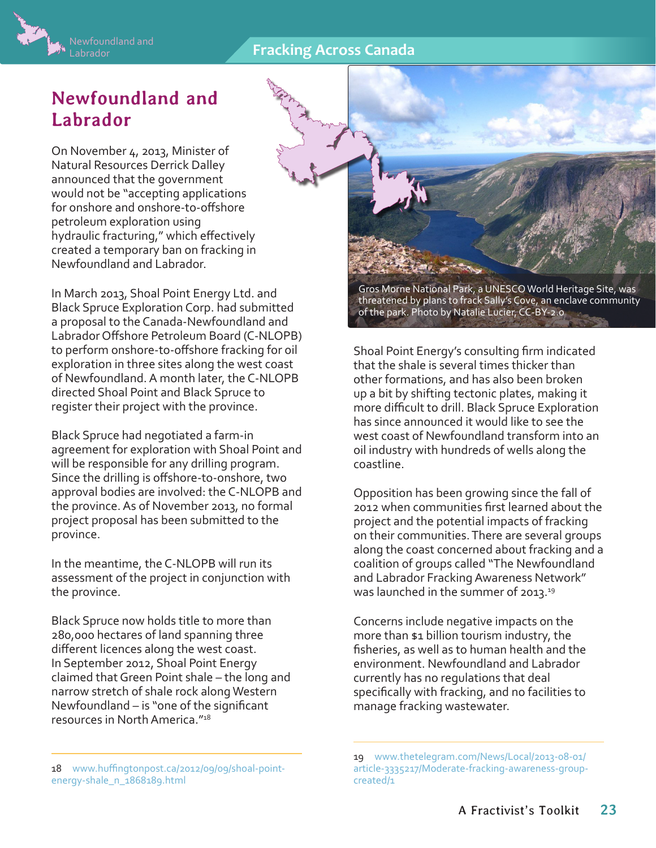## **Fracking Across Canada**



## **Newfoundland and Labrador**

On November 4, 2013, Minister of Natural Resources Derrick Dalley announced that the government would not be "accepting applications for onshore and onshore-to-offshore petroleum exploration using hydraulic fracturing," which effectively created a temporary ban on fracking in Newfoundland and Labrador.

In March 2013, Shoal Point Energy Ltd. and Black Spruce Exploration Corp. had submitted a proposal to the Canada-Newfoundland and Labrador Offshore Petroleum Board (C-NLOPB) to perform onshore-to-offshore fracking for oil exploration in three sites along the west coast of Newfoundland. A month later, the C-NLOPB directed Shoal Point and Black Spruce to register their project with the province.

Black Spruce had negotiated a farm-in agreement for exploration with Shoal Point and will be responsible for any drilling program. Since the drilling is offshore-to-onshore, two approval bodies are involved: the C-NLOPB and the province. As of November 2013, no formal project proposal has been submitted to the province.

In the meantime, the C-NLOPB will run its assessment of the project in conjunction with the province.

Black Spruce now holds title to more than 280,000 hectares of land spanning three different licences along the west coast. In September 2012, Shoal Point Energy claimed that Green Point shale – the long and narrow stretch of shale rock along Western Newfoundland – is "one of the significant resources in North America."18

18 [www.huffingtonpost.ca/2012/09/09/shoal-point](http://www.huffingtonpost.ca/2012/09/09/shoal-point-energy-shale_n_1868189.html)[energy-shale\\_n\\_1868189.html](http://www.huffingtonpost.ca/2012/09/09/shoal-point-energy-shale_n_1868189.html)

Gros Morne National Park, a UNESCO World Heritage Site, was threatened by plans to frack Sally's Cove, an enclave community of the park. Photo by Natalie Lucier, [CC-BY-2.0](http://creativecommons.org/licenses/by/2.0/deed.en)

Shoal Point Energy's consulting firm indicated that the shale is several times thicker than other formations, and has also been broken up a bit by shifting tectonic plates, making it more difficult to drill. Black Spruce Exploration has since announced it would like to see the west coast of Newfoundland transform into an oil industry with hundreds of wells along the coastline.

Opposition has been growing since the fall of 2012 when communities first learned about the project and the potential impacts of fracking on their communities. There are several groups along the coast concerned about fracking and a coalition of groups called "The Newfoundland and Labrador Fracking Awareness Network" was launched in the summer of 2013.<sup>19</sup>

Concerns include negative impacts on the more than \$1 billion tourism industry, the fisheries, as well as to human health and the environment. Newfoundland and Labrador currently has no regulations that deal specifically with fracking, and no facilities to manage fracking wastewater.

<sup>19</sup> [www.thetelegram.com/News/Local/2013-08-01/](http://www.thetelegram.com/News/Local/2013-08-01/article-3335217/Moderate-fracking-awareness-group-created/1) [article-3335217/Moderate-fracking-awareness-group](http://www.thetelegram.com/News/Local/2013-08-01/article-3335217/Moderate-fracking-awareness-group-created/1)[created/1](http://www.thetelegram.com/News/Local/2013-08-01/article-3335217/Moderate-fracking-awareness-group-created/1)